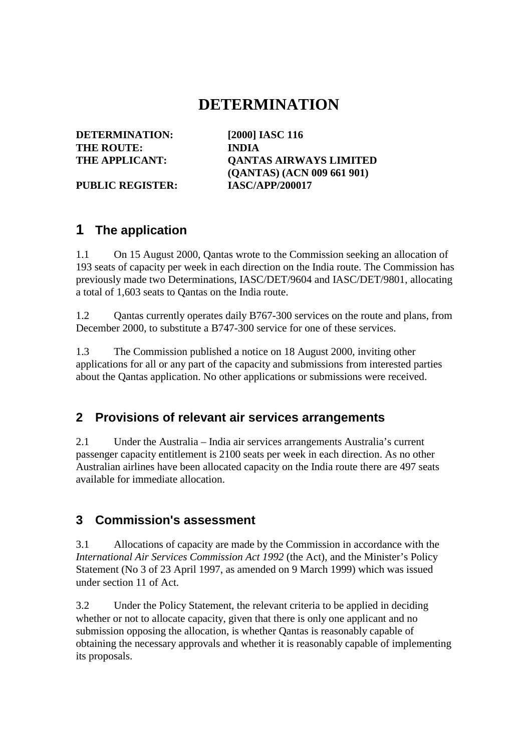# **DETERMINATION**

**DETERMINATION: [2000] IASC 116 THE ROUTE: INDIA**

**THE APPLICANT: QANTAS AIRWAYS LIMITED (QANTAS) (ACN 009 661 901)** PUBLIC REGISTER: **IASC/APP/200017** 

# **1 The application**

1.1 On 15 August 2000, Qantas wrote to the Commission seeking an allocation of 193 seats of capacity per week in each direction on the India route. The Commission has previously made two Determinations, IASC/DET/9604 and IASC/DET/9801, allocating a total of 1,603 seats to Qantas on the India route.

1.2 Qantas currently operates daily B767-300 services on the route and plans, from December 2000, to substitute a B747-300 service for one of these services.

1.3 The Commission published a notice on 18 August 2000, inviting other applications for all or any part of the capacity and submissions from interested parties about the Qantas application. No other applications or submissions were received.

### **2 Provisions of relevant air services arrangements**

2.1 Under the Australia – India air services arrangements Australia's current passenger capacity entitlement is 2100 seats per week in each direction. As no other Australian airlines have been allocated capacity on the India route there are 497 seats available for immediate allocation.

### **3 Commission's assessment**

3.1 Allocations of capacity are made by the Commission in accordance with the *International Air Services Commission Act 1992* (the Act), and the Minister's Policy Statement (No 3 of 23 April 1997, as amended on 9 March 1999) which was issued under section 11 of Act.

3.2 Under the Policy Statement, the relevant criteria to be applied in deciding whether or not to allocate capacity, given that there is only one applicant and no submission opposing the allocation, is whether Qantas is reasonably capable of obtaining the necessary approvals and whether it is reasonably capable of implementing its proposals.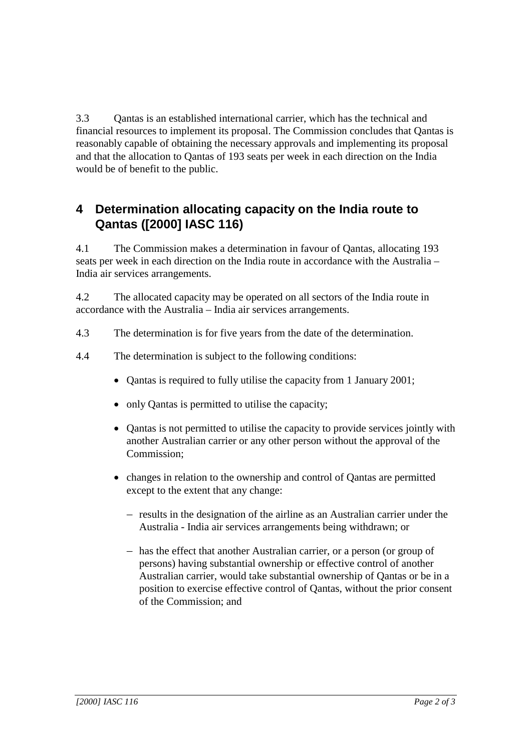3.3 Qantas is an established international carrier, which has the technical and financial resources to implement its proposal. The Commission concludes that Qantas is reasonably capable of obtaining the necessary approvals and implementing its proposal and that the allocation to Qantas of 193 seats per week in each direction on the India would be of benefit to the public.

# **4 Determination allocating capacity on the India route to Qantas ([2000] IASC 116)**

4.1 The Commission makes a determination in favour of Qantas, allocating 193 seats per week in each direction on the India route in accordance with the Australia – India air services arrangements.

4.2 The allocated capacity may be operated on all sectors of the India route in accordance with the Australia – India air services arrangements.

- 4.3 The determination is for five years from the date of the determination.
- 4.4 The determination is subject to the following conditions:
	- Qantas is required to fully utilise the capacity from 1 January 2001;
	- only Qantas is permitted to utilise the capacity;
	- Qantas is not permitted to utilise the capacity to provide services jointly with another Australian carrier or any other person without the approval of the Commission;
	- changes in relation to the ownership and control of Qantas are permitted except to the extent that any change:
		- − results in the designation of the airline as an Australian carrier under the Australia - India air services arrangements being withdrawn; or
		- − has the effect that another Australian carrier, or a person (or group of persons) having substantial ownership or effective control of another Australian carrier, would take substantial ownership of Qantas or be in a position to exercise effective control of Qantas, without the prior consent of the Commission; and